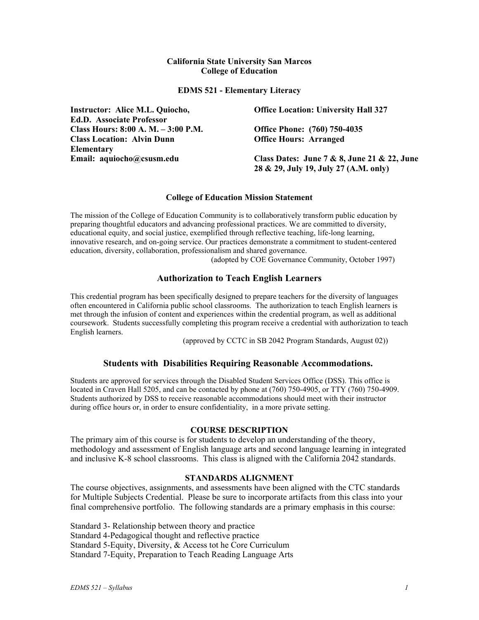## **California State University San Marcos College of Education**

**EDMS 521 - Elementary Literacy** 

| Instructor: Alice M.L. Quiocho,     | <b>Office Location: University Hall 327</b> |  |
|-------------------------------------|---------------------------------------------|--|
| <b>Ed.D. Associate Professor</b>    |                                             |  |
| Class Hours: 8:00 A. M. – 3:00 P.M. | <b>Office Phone:</b> (760) 750-4035         |  |
| <b>Class Location: Alvin Dunn</b>   | <b>Office Hours: Arranged</b>               |  |
| Elementary                          |                                             |  |
| Email: aquiocho@csusm.edu           | Class Dates: June 7 & 8, June 21 & 22, June |  |
|                                     | 28 & 29, July 19, July 27 (A.M. only)       |  |

#### **College of Education Mission Statement**

The mission of the College of Education Community is to collaboratively transform public education by preparing thoughtful educators and advancing professional practices. We are committed to diversity, educational equity, and social justice, exemplified through reflective teaching, life-long learning, innovative research, and on-going service. Our practices demonstrate a commitment to student-centered education, diversity, collaboration, professionalism and shared governance.

(adopted by COE Governance Community, October 1997)

## **Authorization to Teach English Learners**

This credential program has been specifically designed to prepare teachers for the diversity of languages often encountered in California public school classrooms. The authorization to teach English learners is met through the infusion of content and experiences within the credential program, as well as additional coursework. Students successfully completing this program receive a credential with authorization to teach English learners.

(approved by CCTC in SB 2042 Program Standards, August 02))

## **Students with Disabilities Requiring Reasonable Accommodations.**

Students are approved for services through the Disabled Student Services Office (DSS). This office is located in Craven Hall 5205, and can be contacted by phone at (760) 750-4905, or TTY (760) 750-4909. Students authorized by DSS to receive reasonable accommodations should meet with their instructor during office hours or, in order to ensure confidentiality, in a more private setting.

#### **COURSE DESCRIPTION**

The primary aim of this course is for students to develop an understanding of the theory, methodology and assessment of English language arts and second language learning in integrated and inclusive K-8 school classrooms. This class is aligned with the California 2042 standards.

## **STANDARDS ALIGNMENT**

The course objectives, assignments, and assessments have been aligned with the CTC standards for Multiple Subjects Credential. Please be sure to incorporate artifacts from this class into your final comprehensive portfolio. The following standards are a primary emphasis in this course:

Standard 3- Relationship between theory and practice Standard 4-Pedagogical thought and reflective practice Standard 5-Equity, Diversity, & Access tot he Core Curriculum Standard 7-Equity, Preparation to Teach Reading Language Arts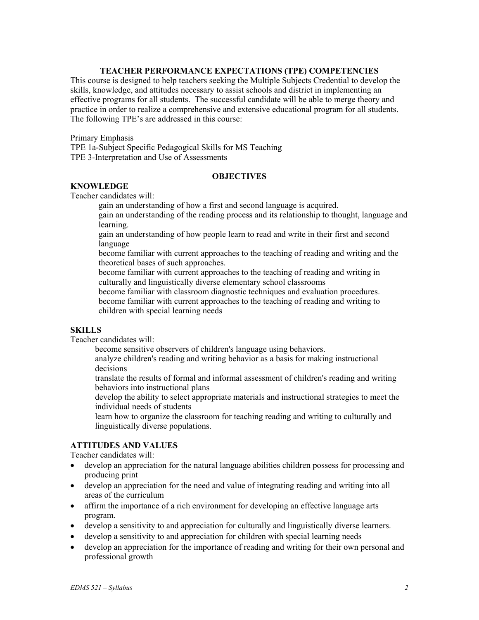## **TEACHER PERFORMANCE EXPECTATIONS (TPE) COMPETENCIES**

This course is designed to help teachers seeking the Multiple Subjects Credential to develop the skills, knowledge, and attitudes necessary to assist schools and district in implementing an effective programs for all students. The successful candidate will be able to merge theory and practice in order to realize a comprehensive and extensive educational program for all students. The following TPE's are addressed in this course:

Primary Emphasis

TPE 1a-Subject Specific Pedagogical Skills for MS Teaching TPE 3-Interpretation and Use of Assessments

## **OBJECTIVES**

### **KNOWLEDGE**

Teacher candidates will:

gain an understanding of how a first and second language is acquired.

gain an understanding of the reading process and its relationship to thought, language and learning.

gain an understanding of how people learn to read and write in their first and second language

become familiar with current approaches to the teaching of reading and writing and the theoretical bases of such approaches.

become familiar with current approaches to the teaching of reading and writing in culturally and linguistically diverse elementary school classrooms

become familiar with classroom diagnostic techniques and evaluation procedures. become familiar with current approaches to the teaching of reading and writing to children with special learning needs

#### **SKILLS**

Teacher candidates will:

become sensitive observers of children's language using behaviors.

analyze children's reading and writing behavior as a basis for making instructional decisions

translate the results of formal and informal assessment of children's reading and writing behaviors into instructional plans

develop the ability to select appropriate materials and instructional strategies to meet the individual needs of students

learn how to organize the classroom for teaching reading and writing to culturally and linguistically diverse populations.

## **ATTITUDES AND VALUES**

Teacher candidates will:

- develop an appreciation for the natural language abilities children possess for processing and producing print
- develop an appreciation for the need and value of integrating reading and writing into all areas of the curriculum
- affirm the importance of a rich environment for developing an effective language arts program.
- develop a sensitivity to and appreciation for culturally and linguistically diverse learners.
- develop a sensitivity to and appreciation for children with special learning needs
- develop an appreciation for the importance of reading and writing for their own personal and professional growth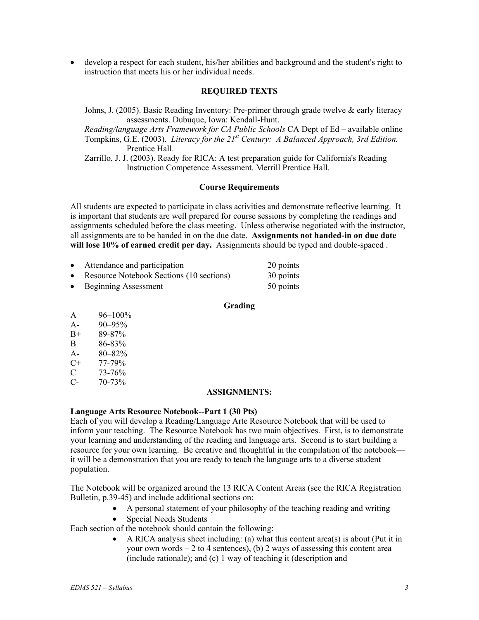• develop a respect for each student, his/her abilities and background and the student's right to instruction that meets his or her individual needs.

## **REQUIRED TEXTS**

Johns, J. (2005). Basic Reading Inventory: Pre-primer through grade twelve & early literacy assessments. Dubuque, Iowa: Kendall-Hunt.

*Reading/language Arts Framework for CA Public Schools* CA Dept of Ed – available online Tompkins, G.E. (2003). *Literacy for the 21st Century: A Balanced Approach, 3rd Edition.* Prentice Hall.

Zarrillo, J. J. (2003). Ready for RICA: A test preparation guide for California's Reading Instruction Competence Assessment. Merrill Prentice Hall.

### **Course Requirements**

All students are expected to participate in class activities and demonstrate reflective learning. It is important that students are well prepared for course sessions by completing the readings and assignments scheduled before the class meeting. Unless otherwise negotiated with the instructor, all assignments are to be handed in on the due date. **Assignments not handed-in on due date will lose 10% of earned credit per day.** Assignments should be typed and double-spaced .

| $\bullet$ | Attendance and participation             | 20 points |
|-----------|------------------------------------------|-----------|
| $\bullet$ | Resource Notebook Sections (10 sections) | 30 points |
| $\bullet$ | <b>Beginning Assessment</b>              | 50 points |

#### **Grading**

| A     | 96-100%     |
|-------|-------------|
| $A-$  | 90-95%      |
| $B+$  | 89-87%      |
| B     | 86-83%      |
| $A -$ | $80 - 82\%$ |
| C+    | 77-79%      |
| C     | 73-76%      |

 $C- 70-73%$ 

#### **ASSIGNMENTS:**

#### **Language Arts Resource Notebook--Part 1 (30 Pts)**

Each of you will develop a Reading/Language Arte Resource Notebook that will be used to inform your teaching. The Resource Notebook has two main objectives. First, is to demonstrate your learning and understanding of the reading and language arts. Second is to start building a resource for your own learning. Be creative and thoughtful in the compilation of the notebook it will be a demonstration that you are ready to teach the language arts to a diverse student population.

The Notebook will be organized around the 13 RICA Content Areas (see the RICA Registration Bulletin, p.39-45) and include additional sections on:

- A personal statement of your philosophy of the teaching reading and writing
- Special Needs Students

Each section of the notebook should contain the following:

• A RICA analysis sheet including: (a) what this content area(s) is about (Put it in your own words  $-2$  to 4 sentences), (b) 2 ways of assessing this content area (include rationale); and (c) 1 way of teaching it (description and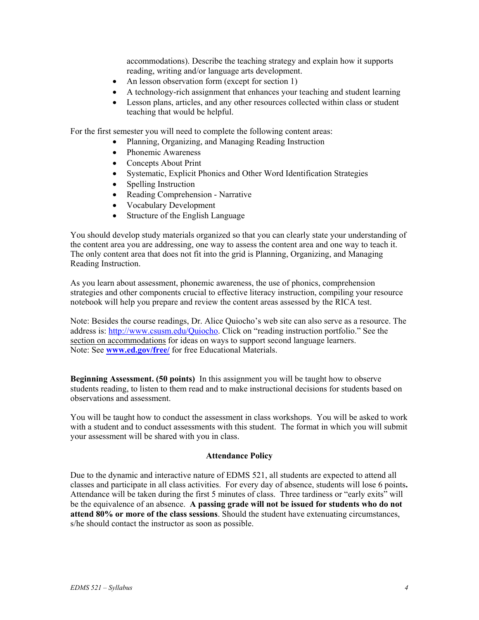accommodations). Describe the teaching strategy and explain how it supports reading, writing and/or language arts development.

- An lesson observation form (except for section 1)
- A technology-rich assignment that enhances your teaching and student learning
- Lesson plans, articles, and any other resources collected within class or student teaching that would be helpful.

For the first semester you will need to complete the following content areas:

- Planning, Organizing, and Managing Reading Instruction
- Phonemic Awareness
- Concepts About Print
- Systematic, Explicit Phonics and Other Word Identification Strategies
- Spelling Instruction
- Reading Comprehension Narrative
- Vocabulary Development
- Structure of the English Language

You should develop study materials organized so that you can clearly state your understanding of the content area you are addressing, one way to assess the content area and one way to teach it. The only content area that does not fit into the grid is Planning, Organizing, and Managing Reading Instruction.

As you learn about assessment, phonemic awareness, the use of phonics, comprehension strategies and other components crucial to effective literacy instruction, compiling your resource notebook will help you prepare and review the content areas assessed by the RICA test.

Note: Besides the course readings, Dr. Alice Quiocho's web site can also serve as a resource. The address is: http://www.csusm.edu/Quiocho. Click on "reading instruction portfolio." See the section on accommodations for ideas on ways to support second language learners. Note: See **www.ed.gov/free/** for free Educational Materials.

**Beginning Assessment. (50 points)** In this assignment you will be taught how to observe students reading, to listen to them read and to make instructional decisions for students based on observations and assessment.

You will be taught how to conduct the assessment in class workshops. You will be asked to work with a student and to conduct assessments with this student. The format in which you will submit your assessment will be shared with you in class.

#### **Attendance Policy**

Due to the dynamic and interactive nature of EDMS 521, all students are expected to attend all classes and participate in all class activities. For every day of absence, students will lose 6 points**.**  Attendance will be taken during the first 5 minutes of class. Three tardiness or "early exits" will be the equivalence of an absence. **A passing grade will not be issued for students who do not attend 80% or more of the class sessions**. Should the student have extenuating circumstances, s/he should contact the instructor as soon as possible.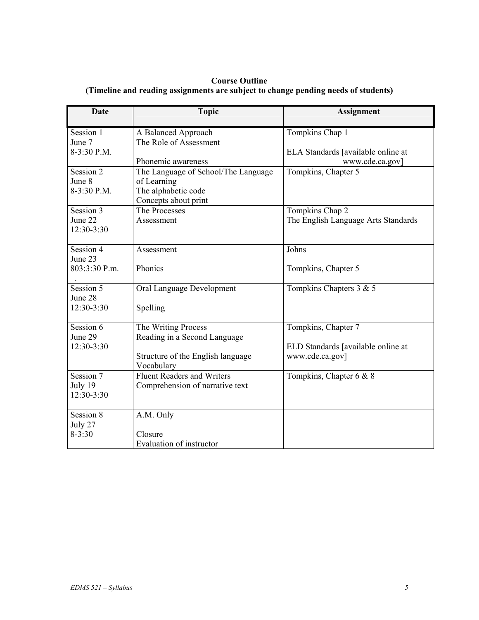## **Course Outline (Timeline and reading assignments are subject to change pending needs of students)**

| Date                               | <b>Topic</b>                                                                                      | <b>Assignment</b>                                      |
|------------------------------------|---------------------------------------------------------------------------------------------------|--------------------------------------------------------|
| Session 1<br>June 7<br>8-3:30 P.M. | A Balanced Approach<br>The Role of Assessment                                                     | Tompkins Chap 1<br>ELA Standards [available online at  |
|                                    | Phonemic awareness                                                                                | www.cde.ca.gov]                                        |
| Session 2<br>June 8<br>8-3:30 P.M. | The Language of School/The Language<br>of Learning<br>The alphabetic code<br>Concepts about print | Tompkins, Chapter 5                                    |
| Session 3<br>June 22<br>12:30-3:30 | The Processes<br>Assessment                                                                       | Tompkins Chap 2<br>The English Language Arts Standards |
| Session 4<br>June 23               | Assessment                                                                                        | Johns                                                  |
| 803:3:30 P.m.                      | Phonics                                                                                           | Tompkins, Chapter 5                                    |
| Session 5<br>June 28<br>12:30-3:30 | Oral Language Development<br>Spelling                                                             | Tompkins Chapters 3 & 5                                |
| Session 6<br>June 29               | The Writing Process<br>Reading in a Second Language                                               | Tompkins, Chapter 7                                    |
| 12:30-3:30                         | Structure of the English language<br>Vocabulary                                                   | ELD Standards [available online at<br>www.cde.ca.gov]  |
| Session 7<br>July 19<br>12:30-3:30 | <b>Fluent Readers and Writers</b><br>Comprehension of narrative text                              | Tompkins, Chapter 6 & 8                                |
| Session 8<br>July 27<br>$8 - 3:30$ | A.M. Only<br>Closure<br>Evaluation of instructor                                                  |                                                        |